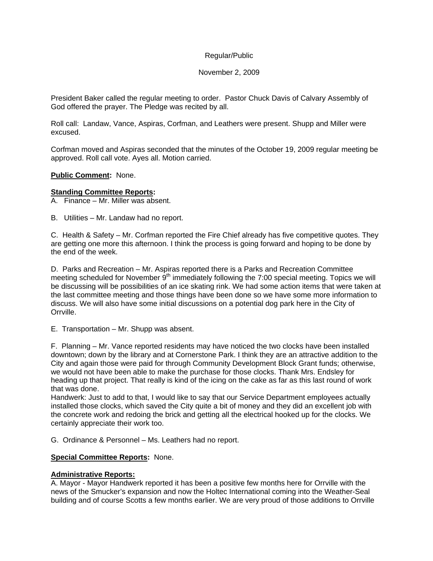### Regular/Public

## November 2, 2009

President Baker called the regular meeting to order. Pastor Chuck Davis of Calvary Assembly of God offered the prayer. The Pledge was recited by all.

Roll call: Landaw, Vance, Aspiras, Corfman, and Leathers were present. Shupp and Miller were excused.

Corfman moved and Aspiras seconded that the minutes of the October 19, 2009 regular meeting be approved. Roll call vote. Ayes all. Motion carried.

### **Public Comment:** None.

## **Standing Committee Reports:**

A. Finance – Mr. Miller was absent.

B. Utilities – Mr. Landaw had no report.

C. Health & Safety – Mr. Corfman reported the Fire Chief already has five competitive quotes. They are getting one more this afternoon. I think the process is going forward and hoping to be done by the end of the week.

D. Parks and Recreation – Mr. Aspiras reported there is a Parks and Recreation Committee meeting scheduled for November 9<sup>th</sup> immediately following the 7:00 special meeting. Topics we will be discussing will be possibilities of an ice skating rink. We had some action items that were taken at the last committee meeting and those things have been done so we have some more information to discuss. We will also have some initial discussions on a potential dog park here in the City of Orrville.

E. Transportation – Mr. Shupp was absent.

F. Planning – Mr. Vance reported residents may have noticed the two clocks have been installed downtown; down by the library and at Cornerstone Park. I think they are an attractive addition to the City and again those were paid for through Community Development Block Grant funds; otherwise, we would not have been able to make the purchase for those clocks. Thank Mrs. Endsley for heading up that project. That really is kind of the icing on the cake as far as this last round of work that was done.

Handwerk: Just to add to that, I would like to say that our Service Department employees actually installed those clocks, which saved the City quite a bit of money and they did an excellent job with the concrete work and redoing the brick and getting all the electrical hooked up for the clocks. We certainly appreciate their work too.

G. Ordinance & Personnel – Ms. Leathers had no report.

# **Special Committee Reports:** None.

### **Administrative Reports:**

A. Mayor - Mayor Handwerk reported it has been a positive few months here for Orrville with the news of the Smucker's expansion and now the Holtec International coming into the Weather-Seal building and of course Scotts a few months earlier. We are very proud of those additions to Orrville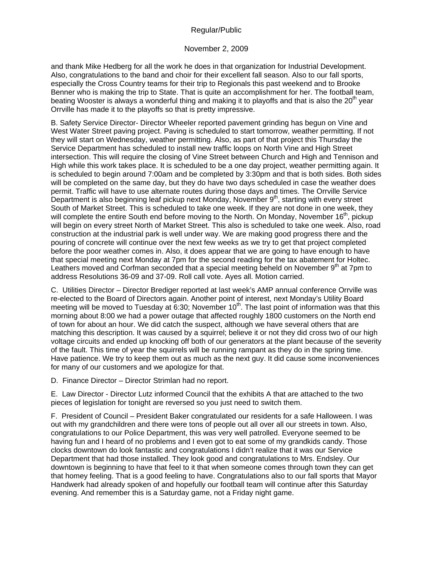# Regular/Public

# November 2, 2009

and thank Mike Hedberg for all the work he does in that organization for Industrial Development. Also, congratulations to the band and choir for their excellent fall season. Also to our fall sports, especially the Cross Country teams for their trip to Regionals this past weekend and to Brooke Benner who is making the trip to State. That is quite an accomplishment for her. The football team, beating Wooster is always a wonderful thing and making it to playoffs and that is also the  $20<sup>th</sup>$  year Orrville has made it to the playoffs so that is pretty impressive.

B. Safety Service Director- Director Wheeler reported pavement grinding has begun on Vine and West Water Street paving project. Paving is scheduled to start tomorrow, weather permitting. If not they will start on Wednesday, weather permitting. Also, as part of that project this Thursday the Service Department has scheduled to install new traffic loops on North Vine and High Street intersection. This will require the closing of Vine Street between Church and High and Tennison and High while this work takes place. It is scheduled to be a one day project, weather permitting again. It is scheduled to begin around 7:00am and be completed by 3:30pm and that is both sides. Both sides will be completed on the same day, but they do have two days scheduled in case the weather does permit. Traffic will have to use alternate routes during those days and times. The Orrville Service Department is also beginning leaf pickup next Monday, November  $9<sup>th</sup>$ , starting with every street South of Market Street. This is scheduled to take one week. If they are not done in one week, they will complete the entire South end before moving to the North. On Monday, November 16<sup>th</sup>, pickup will begin on every street North of Market Street. This also is scheduled to take one week. Also, road construction at the industrial park is well under way. We are making good progress there and the pouring of concrete will continue over the next few weeks as we try to get that project completed before the poor weather comes in. Also, it does appear that we are going to have enough to have that special meeting next Monday at 7pm for the second reading for the tax abatement for Holtec. Leathers moved and Corfman seconded that a special meeting beheld on November  $9<sup>th</sup>$  at 7pm to address Resolutions 36-09 and 37-09. Roll call vote. Ayes all. Motion carried.

C. Utilities Director – Director Brediger reported at last week's AMP annual conference Orrville was re-elected to the Board of Directors again. Another point of interest, next Monday's Utility Board meeting will be moved to Tuesday at 6:30; November 10<sup>th</sup>. The last point of information was that this morning about 8:00 we had a power outage that affected roughly 1800 customers on the North end of town for about an hour. We did catch the suspect, although we have several others that are matching this description. It was caused by a squirrel; believe it or not they did cross two of our high voltage circuits and ended up knocking off both of our generators at the plant because of the severity of the fault. This time of year the squirrels will be running rampant as they do in the spring time. Have patience. We try to keep them out as much as the next guy. It did cause some inconveniences for many of our customers and we apologize for that.

D. Finance Director – Director Strimlan had no report.

E. Law Director - Director Lutz informed Council that the exhibits A that are attached to the two pieces of legislation for tonight are reversed so you just need to switch them.

F. President of Council – President Baker congratulated our residents for a safe Halloween. I was out with my grandchildren and there were tons of people out all over all our streets in town. Also, congratulations to our Police Department, this was very well patrolled. Everyone seemed to be having fun and I heard of no problems and I even got to eat some of my grandkids candy. Those clocks downtown do look fantastic and congratulations I didn't realize that it was our Service Department that had those installed. They look good and congratulations to Mrs. Endsley. Our downtown is beginning to have that feel to it that when someone comes through town they can get that homey feeling. That is a good feeling to have. Congratulations also to our fall sports that Mayor Handwerk had already spoken of and hopefully our football team will continue after this Saturday evening. And remember this is a Saturday game, not a Friday night game.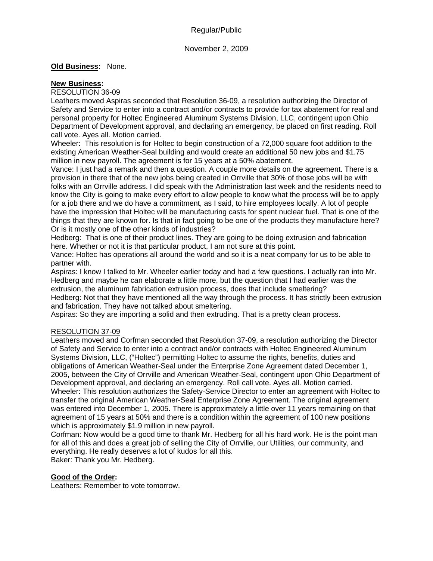## November 2, 2009

#### **Old Business:** None.

#### **New Business:**

#### RESOLUTION 36-09

Leathers moved Aspiras seconded that Resolution 36-09, a resolution authorizing the Director of Safety and Service to enter into a contract and/or contracts to provide for tax abatement for real and personal property for Holtec Engineered Aluminum Systems Division, LLC, contingent upon Ohio Department of Development approval, and declaring an emergency, be placed on first reading. Roll call vote. Ayes all. Motion carried.

Wheeler: This resolution is for Holtec to begin construction of a 72,000 square foot addition to the existing American Weather-Seal building and would create an additional 50 new jobs and \$1.75 million in new payroll. The agreement is for 15 years at a 50% abatement.

Vance: I just had a remark and then a question. A couple more details on the agreement. There is a provision in there that of the new jobs being created in Orrville that 30% of those jobs will be with folks with an Orrville address. I did speak with the Administration last week and the residents need to know the City is going to make every effort to allow people to know what the process will be to apply for a job there and we do have a commitment, as I said, to hire employees locally. A lot of people have the impression that Holtec will be manufacturing casts for spent nuclear fuel. That is one of the things that they are known for. Is that in fact going to be one of the products they manufacture here? Or is it mostly one of the other kinds of industries?

Hedberg: That is one of their product lines. They are going to be doing extrusion and fabrication here. Whether or not it is that particular product, I am not sure at this point.

Vance: Holtec has operations all around the world and so it is a neat company for us to be able to partner with.

Aspiras: I know I talked to Mr. Wheeler earlier today and had a few questions. I actually ran into Mr. Hedberg and maybe he can elaborate a little more, but the question that I had earlier was the extrusion, the aluminum fabrication extrusion process, does that include smeltering?

Hedberg: Not that they have mentioned all the way through the process. It has strictly been extrusion and fabrication. They have not talked about smeltering.

Aspiras: So they are importing a solid and then extruding. That is a pretty clean process.

### RESOLUTION 37-09

Leathers moved and Corfman seconded that Resolution 37-09, a resolution authorizing the Director of Safety and Service to enter into a contract and/or contracts with Holtec Engineered Aluminum Systems Division, LLC, ("Holtec") permitting Holtec to assume the rights, benefits, duties and obligations of American Weather-Seal under the Enterprise Zone Agreement dated December 1, 2005, between the City of Orrville and American Weather-Seal, contingent upon Ohio Department of Development approval, and declaring an emergency. Roll call vote. Ayes all. Motion carried. Wheeler: This resolution authorizes the Safety-Service Director to enter an agreement with Holtec to transfer the original American Weather-Seal Enterprise Zone Agreement. The original agreement was entered into December 1, 2005. There is approximately a little over 11 years remaining on that agreement of 15 years at 50% and there is a condition within the agreement of 100 new positions which is approximately \$1.9 million in new payroll.

Corfman: Now would be a good time to thank Mr. Hedberg for all his hard work. He is the point man for all of this and does a great job of selling the City of Orrville, our Utilities, our community, and everything. He really deserves a lot of kudos for all this.

Baker: Thank you Mr. Hedberg.

### **Good of the Order:**

Leathers: Remember to vote tomorrow.